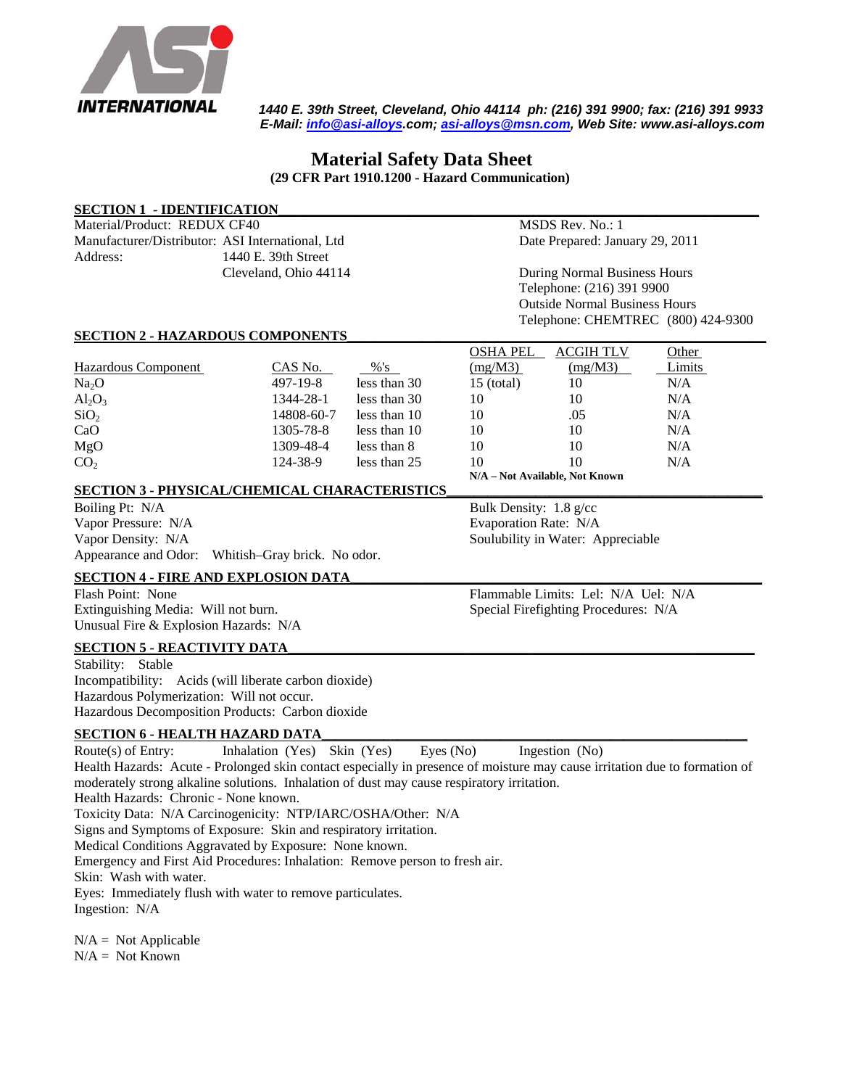

 *1440 E. 39th Street, Cleveland, Ohio 44114 ph: (216) 391 9900; fax: (216) 391 9933 E-Mail: [info@asi-alloys](mailto:info@asi-alloys).com; [asi-alloys@msn.com](mailto:asi-alloys@msn.com), Web Site: www.asi-alloys.com* 

## **Material Safety Data Sheet (29 CFR Part 1910.1200 - Hazard Communication)**

| <b>SECTION 1 - IDENTIFICATION</b>                                                                                          |                              |                  |                                                                   |                                      |        |  |
|----------------------------------------------------------------------------------------------------------------------------|------------------------------|------------------|-------------------------------------------------------------------|--------------------------------------|--------|--|
| Material/Product: REDUX CF40                                                                                               |                              | MSDS Rev. No.: 1 |                                                                   |                                      |        |  |
| Manufacturer/Distributor: ASI International, Ltd                                                                           |                              |                  |                                                                   | Date Prepared: January 29, 2011      |        |  |
| Address:                                                                                                                   | 1440 E. 39th Street          |                  |                                                                   |                                      |        |  |
|                                                                                                                            | Cleveland, Ohio 44114        |                  |                                                                   | During Normal Business Hours         |        |  |
|                                                                                                                            |                              |                  | Telephone: (216) 391 9900<br><b>Outside Normal Business Hours</b> |                                      |        |  |
|                                                                                                                            |                              |                  |                                                                   |                                      |        |  |
| <b>SECTION 2 - HAZARDOUS COMPONENTS</b>                                                                                    |                              |                  | <b>OSHA PEL</b>                                                   | <b>ACGIH TLV</b>                     | Other  |  |
| Hazardous Component                                                                                                        | CAS No.                      | % 's             | (mg/M3)                                                           | (mg/M3)                              | Limits |  |
| Na <sub>2</sub> O                                                                                                          | 497-19-8                     | less than 30     | $15$ (total)                                                      | 10                                   | N/A    |  |
| $Al_2O_3$                                                                                                                  | 1344-28-1                    | less than 30     | 10                                                                | 10                                   | N/A    |  |
| SiO <sub>2</sub>                                                                                                           | 14808-60-7                   | less than 10     | 10                                                                | .05                                  | N/A    |  |
| CaO                                                                                                                        | 1305-78-8                    | less than 10     | 10                                                                | 10                                   | N/A    |  |
| MgO                                                                                                                        | 1309-48-4                    | less than 8      | 10                                                                | 10                                   | N/A    |  |
| CO <sub>2</sub>                                                                                                            | 124-38-9                     | less than 25     | 10                                                                | 10                                   | N/A    |  |
|                                                                                                                            |                              |                  |                                                                   | N/A - Not Available, Not Known       |        |  |
| <b>SECTION 3 - PHYSICAL/CHEMICAL CHARACTERISTICS</b>                                                                       |                              |                  |                                                                   |                                      |        |  |
| Boiling Pt: N/A                                                                                                            |                              |                  |                                                                   | Bulk Density: 1.8 g/cc               |        |  |
| Vapor Pressure: N/A                                                                                                        |                              |                  |                                                                   | Evaporation Rate: N/A                |        |  |
| Vapor Density: N/A                                                                                                         |                              |                  |                                                                   | Soulubility in Water: Appreciable    |        |  |
| Appearance and Odor:                                                                                                       | Whitish-Gray brick. No odor. |                  |                                                                   |                                      |        |  |
| <b>SECTION 4 - FIRE AND EXPLOSION DATA</b>                                                                                 |                              |                  |                                                                   |                                      |        |  |
| Flash Point: None                                                                                                          |                              |                  |                                                                   | Flammable Limits: Lel: N/A Uel: N/A  |        |  |
| Extinguishing Media: Will not burn.                                                                                        |                              |                  |                                                                   | Special Firefighting Procedures: N/A |        |  |
| Unusual Fire & Explosion Hazards: N/A                                                                                      |                              |                  |                                                                   |                                      |        |  |
| <b>SECTION 5 - REACTIVITY DATA</b>                                                                                         |                              |                  |                                                                   |                                      |        |  |
| Stability: Stable                                                                                                          |                              |                  |                                                                   |                                      |        |  |
| Incompatibility: Acids (will liberate carbon dioxide)                                                                      |                              |                  |                                                                   |                                      |        |  |
| Hazardous Polymerization: Will not occur.                                                                                  |                              |                  |                                                                   |                                      |        |  |
| Hazardous Decomposition Products: Carbon dioxide                                                                           |                              |                  |                                                                   |                                      |        |  |
| <b>SECTION 6 - HEALTH HAZARD DATA</b>                                                                                      |                              |                  |                                                                   |                                      |        |  |
| Route(s) of Entry:                                                                                                         | Inhalation (Yes) Skin (Yes)  | Eyes (No)        |                                                                   | Ingestion (No)                       |        |  |
| Health Hazards: Acute - Prolonged skin contact especially in presence of moisture may cause irritation due to formation of |                              |                  |                                                                   |                                      |        |  |
| moderately strong alkaline solutions. Inhalation of dust may cause respiratory irritation.                                 |                              |                  |                                                                   |                                      |        |  |
| Health Hazards: Chronic - None known.                                                                                      |                              |                  |                                                                   |                                      |        |  |
| Toxicity Data: N/A Carcinogenicity: NTP/IARC/OSHA/Other: N/A                                                               |                              |                  |                                                                   |                                      |        |  |
| Signs and Symptoms of Exposure: Skin and respiratory irritation.                                                           |                              |                  |                                                                   |                                      |        |  |
| Medical Conditions Aggravated by Exposure: None known.                                                                     |                              |                  |                                                                   |                                      |        |  |
| Emergency and First Aid Procedures: Inhalation: Remove person to fresh air.                                                |                              |                  |                                                                   |                                      |        |  |
| Skin: Wash with water.                                                                                                     |                              |                  |                                                                   |                                      |        |  |
|                                                                                                                            |                              |                  |                                                                   |                                      |        |  |
| Eyes: Immediately flush with water to remove particulates.<br>Ingestion: N/A                                               |                              |                  |                                                                   |                                      |        |  |
|                                                                                                                            |                              |                  |                                                                   |                                      |        |  |
| $N/A = Not Applicable$                                                                                                     |                              |                  |                                                                   |                                      |        |  |

 $N/A = Not Known$